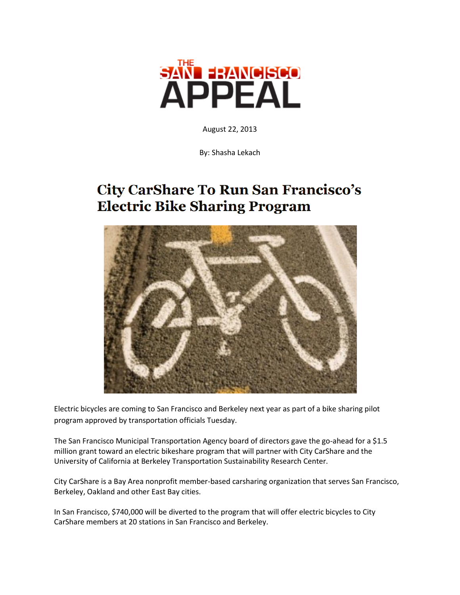

August 22, 2013

By: Shasha Lekach

## **City CarShare To Run San Francisco's Electric Bike Sharing Program**



Electric bicycles are coming to San Francisco and Berkeley next year as part of a bike sharing pilot program approved by transportation officials Tuesday.

The San Francisco Municipal Transportation Agency board of directors gave the go-ahead for a \$1.5 million grant toward an electric bikeshare program that will partner with City CarShare and the University of California at Berkeley Transportation Sustainability Research Center.

City CarShare is a Bay Area nonprofit member-based carsharing organization that serves San Francisco, Berkeley, Oakland and other East Bay cities.

In San Francisco, \$740,000 will be diverted to the program that will offer electric bicycles to City CarShare members at 20 stations in San Francisco and Berkeley.